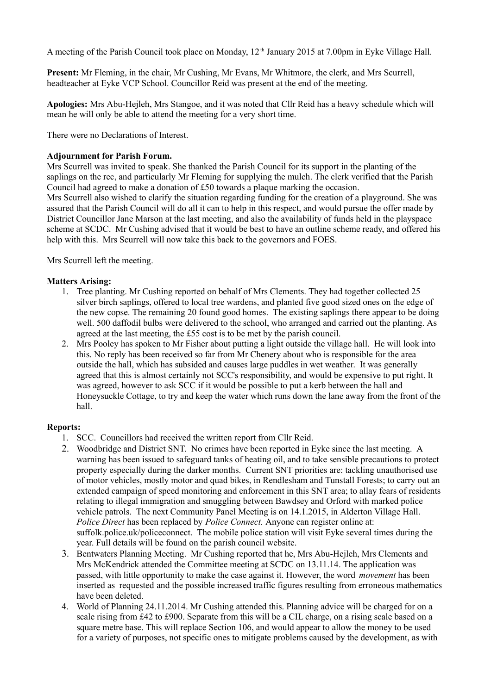A meeting of the Parish Council took place on Monday, 12<sup>th</sup> January 2015 at 7.00pm in Eyke Village Hall.

**Present:** Mr Fleming, in the chair, Mr Cushing, Mr Evans, Mr Whitmore, the clerk, and Mrs Scurrell, headteacher at Eyke VCP School. Councillor Reid was present at the end of the meeting.

**Apologies:** Mrs Abu-Hejleh, Mrs Stangoe, and it was noted that Cllr Reid has a heavy schedule which will mean he will only be able to attend the meeting for a very short time.

There were no Declarations of Interest.

#### **Adjournment for Parish Forum.**

Mrs Scurrell was invited to speak. She thanked the Parish Council for its support in the planting of the saplings on the rec, and particularly Mr Fleming for supplying the mulch. The clerk verified that the Parish Council had agreed to make a donation of £50 towards a plaque marking the occasion. Mrs Scurrell also wished to clarify the situation regarding funding for the creation of a playground. She was assured that the Parish Council will do all it can to help in this respect, and would pursue the offer made by District Councillor Jane Marson at the last meeting, and also the availability of funds held in the playspace

scheme at SCDC. Mr Cushing advised that it would be best to have an outline scheme ready, and offered his help with this. Mrs Scurrell will now take this back to the governors and FOES.

Mrs Scurrell left the meeting.

## **Matters Arising:**

- 1. Tree planting. Mr Cushing reported on behalf of Mrs Clements. They had together collected 25 silver birch saplings, offered to local tree wardens, and planted five good sized ones on the edge of the new copse. The remaining 20 found good homes. The existing saplings there appear to be doing well. 500 daffodil bulbs were delivered to the school, who arranged and carried out the planting. As agreed at the last meeting, the £55 cost is to be met by the parish council.
- 2. Mrs Pooley has spoken to Mr Fisher about putting a light outside the village hall. He will look into this. No reply has been received so far from Mr Chenery about who is responsible for the area outside the hall, which has subsided and causes large puddles in wet weather. It was generally agreed that this is almost certainly not SCC's responsibility, and would be expensive to put right. It was agreed, however to ask SCC if it would be possible to put a kerb between the hall and Honeysuckle Cottage, to try and keep the water which runs down the lane away from the front of the hall.

#### **Reports:**

- 1. SCC. Councillors had received the written report from Cllr Reid.
- 2. Woodbridge and District SNT. No crimes have been reported in Eyke since the last meeting. A warning has been issued to safeguard tanks of heating oil, and to take sensible precautions to protect property especially during the darker months. Current SNT priorities are: tackling unauthorised use of motor vehicles, mostly motor and quad bikes, in Rendlesham and Tunstall Forests; to carry out an extended campaign of speed monitoring and enforcement in this SNT area; to allay fears of residents relating to illegal immigration and smuggling between Bawdsey and Orford with marked police vehicle patrols. The next Community Panel Meeting is on 14.1.2015, in Alderton Village Hall. *Police Direct* has been replaced by *Police Connect.* Anyone can register online at: suffolk.police.uk/policeconnect. The mobile police station will visit Eyke several times during the year. Full details will be found on the parish council website.
- 3. Bentwaters Planning Meeting. Mr Cushing reported that he, Mrs Abu-Hejleh, Mrs Clements and Mrs McKendrick attended the Committee meeting at SCDC on 13.11.14. The application was passed, with little opportunity to make the case against it. However, the word *movement* has been inserted as requested and the possible increased traffic figures resulting from erroneous mathematics have been deleted.
- 4. World of Planning 24.11.2014. Mr Cushing attended this. Planning advice will be charged for on a scale rising from £42 to £900. Separate from this will be a CIL charge, on a rising scale based on a square metre base. This will replace Section 106, and would appear to allow the money to be used for a variety of purposes, not specific ones to mitigate problems caused by the development, as with